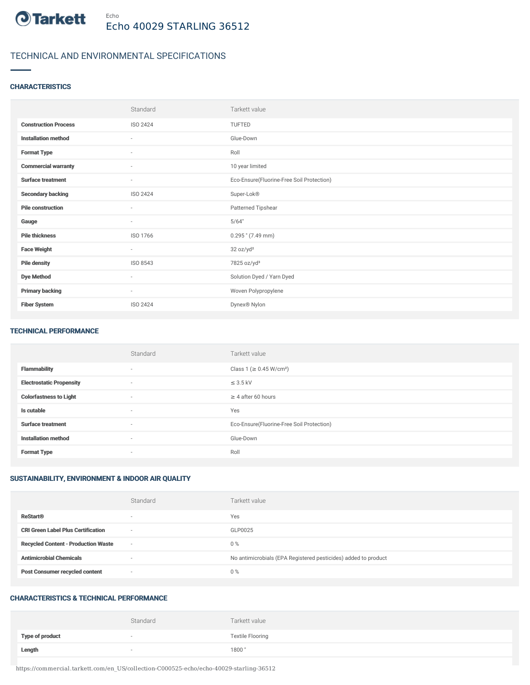

# TECHNICAL AND ENVIRONMENTAL SPECIFICATIONS

### **CHARACTERISTICS**

|                             | Standard                 | Tarkett value                             |
|-----------------------------|--------------------------|-------------------------------------------|
| <b>Construction Process</b> | ISO 2424                 | TUFTED                                    |
| <b>Installation method</b>  | $\sim$                   | Glue-Down                                 |
| <b>Format Type</b>          | $\overline{\phantom{a}}$ | Roll                                      |
| <b>Commercial warranty</b>  | $\sim$                   | 10 year limited                           |
| <b>Surface treatment</b>    | $\overline{\phantom{a}}$ | Eco-Ensure(Fluorine-Free Soil Protection) |
| <b>Secondary backing</b>    | ISO 2424                 | Super-Lok®                                |
| <b>Pile construction</b>    | $\sim$                   | Patterned Tipshear                        |
| Gauge                       | $\sim$                   | 5/64"                                     |
| <b>Pile thickness</b>       | ISO 1766                 | $0.295$ " (7.49 mm)                       |
| <b>Face Weight</b>          | $\overline{\phantom{a}}$ | 32 oz/yd <sup>2</sup>                     |
| <b>Pile density</b>         | ISO 8543                 | 7825 oz/yd <sup>3</sup>                   |
| <b>Dye Method</b>           | $\sim$                   | Solution Dyed / Yarn Dyed                 |
| <b>Primary backing</b>      | $\sim$                   | Woven Polypropylene                       |
| <b>Fiber System</b>         | <b>ISO 2424</b>          | Dynex® Nylon                              |

#### TECHNICAL PERFORMANCE

|                                 | Standard                 | Tarkett value                             |
|---------------------------------|--------------------------|-------------------------------------------|
| <b>Flammability</b>             | $\sim$                   | Class 1 ( $\geq$ 0.45 W/cm <sup>2</sup> ) |
| <b>Electrostatic Propensity</b> | $\overline{\phantom{a}}$ | $\leq$ 3.5 kV                             |
| <b>Colorfastness to Light</b>   | $\sim$                   | $\geq$ 4 after 60 hours                   |
| Is cutable                      | $\sim$                   | Yes                                       |
| <b>Surface treatment</b>        | $\sim$                   | Eco-Ensure(Fluorine-Free Soil Protection) |
| <b>Installation method</b>      | $\sim$                   | Glue-Down                                 |
| <b>Format Type</b>              | $\sim$                   | Roll                                      |

## SUSTAINABILITY, ENVIRONMENT & INDOOR AIR QUALITY

|                                            | Standard                 | Tarkett value                                                  |
|--------------------------------------------|--------------------------|----------------------------------------------------------------|
| <b>ReStart®</b>                            | $\overline{\phantom{a}}$ | Yes                                                            |
| <b>CRI Green Label Plus Certification</b>  | $\overline{\phantom{a}}$ | GLP0025                                                        |
| <b>Recycled Content - Production Waste</b> | $\overline{\phantom{a}}$ | $0\%$                                                          |
| <b>Antimicrobial Chemicals</b>             | <b>1999</b>              | No antimicrobials (EPA Registered pesticides) added to product |
| <b>Post Consumer recycled content</b>      | $\overline{\phantom{a}}$ | $0\%$                                                          |

#### CHARACTERISTICS & TECHNICAL PERFORMANCE

|                        | Standard                 | Tarkett value           |
|------------------------|--------------------------|-------------------------|
| <b>Type of product</b> | $\overline{\phantom{a}}$ | <b>Textile Flooring</b> |
| Length                 | $\overline{\phantom{a}}$ | 1800"                   |

https://commercial.tarkett.com/en\_US/collection-C000525-echo/echo-40029-starling-36512